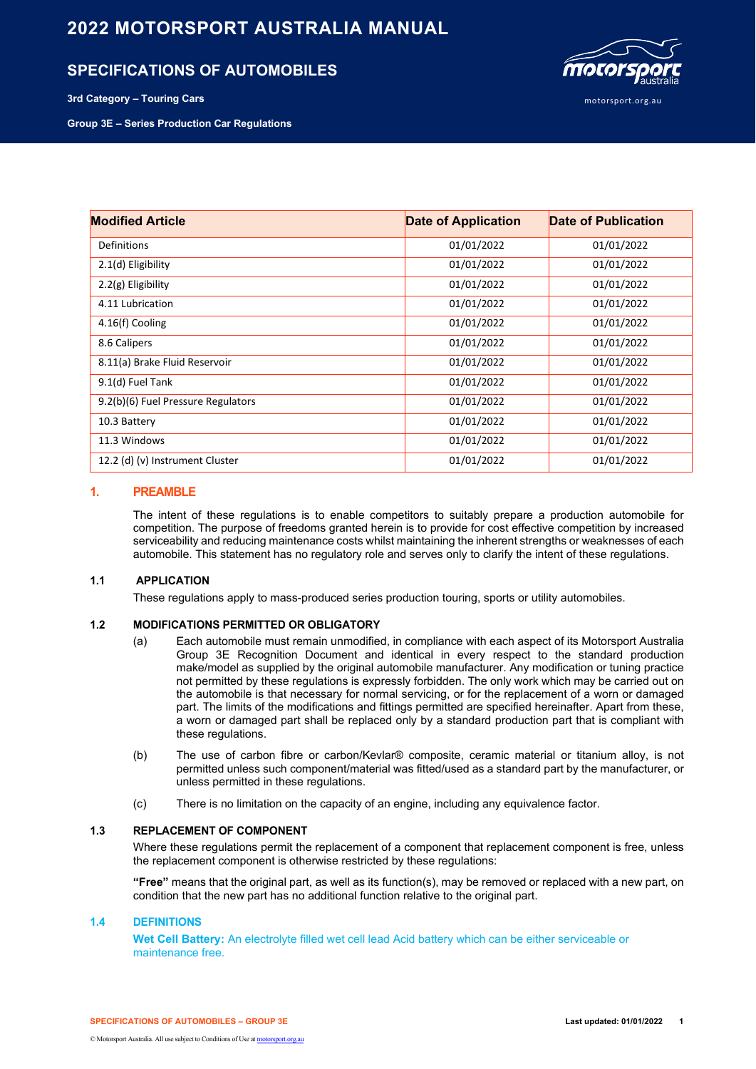# **2022 MOTORSPORT AUSTRALIA MANUAL**

# **SPECIFICATIONS OF AUTOMOBILES**



**Group 3E – Series Production Car Regulations**



| <b>Modified Article</b>            | <b>Date of Application</b> | Date of Publication |  |
|------------------------------------|----------------------------|---------------------|--|
| <b>Definitions</b>                 | 01/01/2022                 | 01/01/2022          |  |
| 2.1(d) Eligibility                 | 01/01/2022                 | 01/01/2022          |  |
| $2.2(g)$ Eligibility               | 01/01/2022                 | 01/01/2022          |  |
| 4.11 Lubrication                   | 01/01/2022                 | 01/01/2022          |  |
| 4.16(f) Cooling                    | 01/01/2022                 | 01/01/2022          |  |
| 8.6 Calipers                       | 01/01/2022                 | 01/01/2022          |  |
| 8.11(a) Brake Fluid Reservoir      | 01/01/2022                 | 01/01/2022          |  |
| 9.1(d) Fuel Tank                   | 01/01/2022                 | 01/01/2022          |  |
| 9.2(b)(6) Fuel Pressure Regulators | 01/01/2022                 | 01/01/2022          |  |
| 10.3 Battery                       | 01/01/2022                 | 01/01/2022          |  |
| 11.3 Windows                       | 01/01/2022                 | 01/01/2022          |  |
| 12.2 (d) (v) Instrument Cluster    | 01/01/2022                 | 01/01/2022          |  |

# **1. PREAMBLE**

The intent of these regulations is to enable competitors to suitably prepare a production automobile for competition. The purpose of freedoms granted herein is to provide for cost effective competition by increased serviceability and reducing maintenance costs whilst maintaining the inherent strengths or weaknesses of each automobile. This statement has no regulatory role and serves only to clarify the intent of these regulations.

## **1.1 APPLICATION**

These regulations apply to mass-produced series production touring, sports or utility automobiles.

## **1.2 MODIFICATIONS PERMITTED OR OBLIGATORY**

- (a) Each automobile must remain unmodified, in compliance with each aspect of its Motorsport Australia Group 3E Recognition Document and identical in every respect to the standard production make/model as supplied by the original automobile manufacturer. Any modification or tuning practice not permitted by these regulations is expressly forbidden. The only work which may be carried out on the automobile is that necessary for normal servicing, or for the replacement of a worn or damaged part. The limits of the modifications and fittings permitted are specified hereinafter. Apart from these, a worn or damaged part shall be replaced only by a standard production part that is compliant with these regulations.
- (b) The use of carbon fibre or carbon/Kevlar® composite, ceramic material or titanium alloy, is not permitted unless such component/material was fitted/used as a standard part by the manufacturer, or unless permitted in these regulations.
- (c) There is no limitation on the capacity of an engine, including any equivalence factor.

# **1.3 REPLACEMENT OF COMPONENT**

Where these regulations permit the replacement of a component that replacement component is free, unless the replacement component is otherwise restricted by these regulations:

**"Free"** means that the original part, as well as its function(s), may be removed or replaced with a new part, on condition that the new part has no additional function relative to the original part.

## **1.4 DEFINITIONS**

**Wet Cell Battery:** An electrolyte filled wet cell lead Acid battery which can be either serviceable or maintenance free.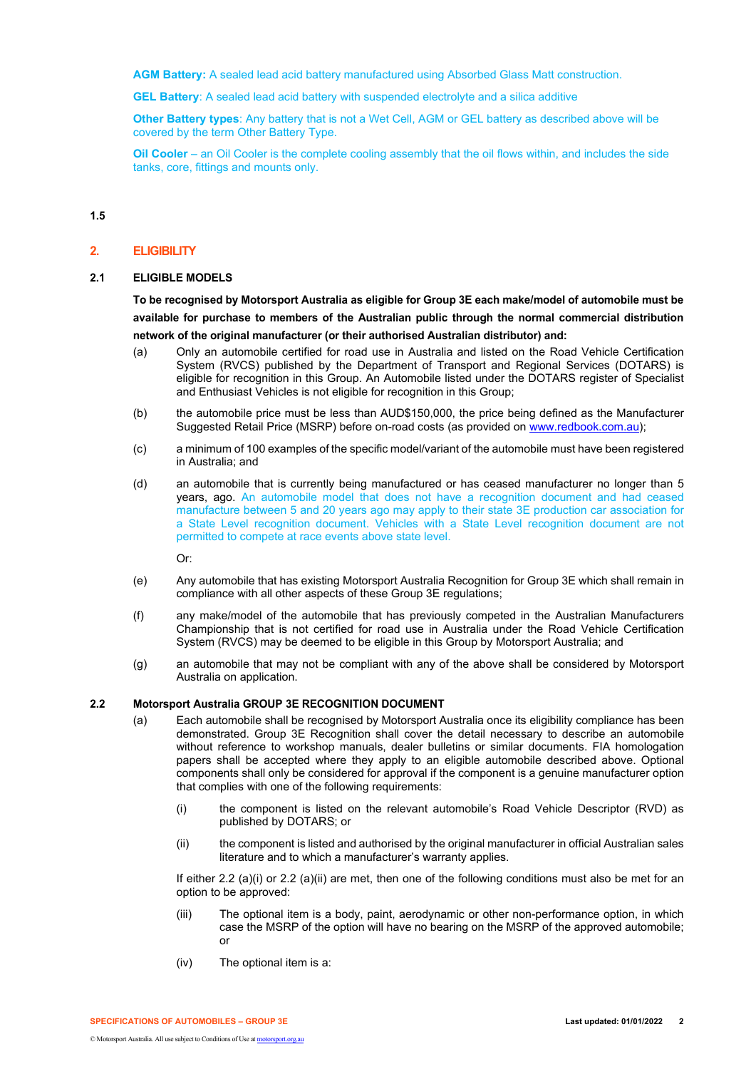**AGM Battery:** A sealed lead acid battery manufactured using Absorbed Glass Matt construction.

**GEL Battery**: A sealed lead acid battery with suspended electrolyte and a silica additive

**Other Battery types**: Any battery that is not a Wet Cell, AGM or GEL battery as described above will be covered by the term Other Battery Type.

**Oil Cooler** – an Oil Cooler is the complete cooling assembly that the oil flows within, and includes the side tanks, core, fittings and mounts only.

**1.5**

#### **2. ELIGIBILITY**

#### **2.1 ELIGIBLE MODELS**

**To be recognised by Motorsport Australia as eligible for Group 3E each make/model of automobile must be available for purchase to members of the Australian public through the normal commercial distribution network of the original manufacturer (or their authorised Australian distributor) and:**

- (a) Only an automobile certified for road use in Australia and listed on the Road Vehicle Certification System (RVCS) published by the Department of Transport and Regional Services (DOTARS) is eligible for recognition in this Group. An Automobile listed under the DOTARS register of Specialist and Enthusiast Vehicles is not eligible for recognition in this Group;
- (b) the automobile price must be less than AUD\$150,000, the price being defined as the Manufacturer Suggested Retail Price (MSRP) before on-road costs (as provided on [www.redbook.com.au\)](http://www.redbook.com.au/);
- (c) a minimum of 100 examples of the specific model/variant of the automobile must have been registered in Australia; and
- (d) an automobile that is currently being manufactured or has ceased manufacturer no longer than 5 years, ago. An automobile model that does not have a recognition document and had ceased manufacture between 5 and 20 years ago may apply to their state 3E production car association for a State Level recognition document. Vehicles with a State Level recognition document are not permitted to compete at race events above state level.

Or:

- (e) Any automobile that has existing Motorsport Australia Recognition for Group 3E which shall remain in compliance with all other aspects of these Group 3E regulations;
- (f) any make/model of the automobile that has previously competed in the Australian Manufacturers Championship that is not certified for road use in Australia under the Road Vehicle Certification System (RVCS) may be deemed to be eligible in this Group by Motorsport Australia; and
- (g) an automobile that may not be compliant with any of the above shall be considered by Motorsport Australia on application.

## **2.2 Motorsport Australia GROUP 3E RECOGNITION DOCUMENT**

- (a) Each automobile shall be recognised by Motorsport Australia once its eligibility compliance has been demonstrated. Group 3E Recognition shall cover the detail necessary to describe an automobile without reference to workshop manuals, dealer bulletins or similar documents. FIA homologation papers shall be accepted where they apply to an eligible automobile described above. Optional components shall only be considered for approval if the component is a genuine manufacturer option that complies with one of the following requirements:
	- (i) the component is listed on the relevant automobile's Road Vehicle Descriptor (RVD) as published by DOTARS; or
	- (ii) the component is listed and authorised by the original manufacturer in official Australian sales literature and to which a manufacturer's warranty applies.

If either 2.2 (a)(i) or 2.2 (a)(ii) are met, then one of the following conditions must also be met for an option to be approved:

- (iii) The optional item is a body, paint, aerodynamic or other non-performance option, in which case the MSRP of the option will have no bearing on the MSRP of the approved automobile; or
- (iv) The optional item is a: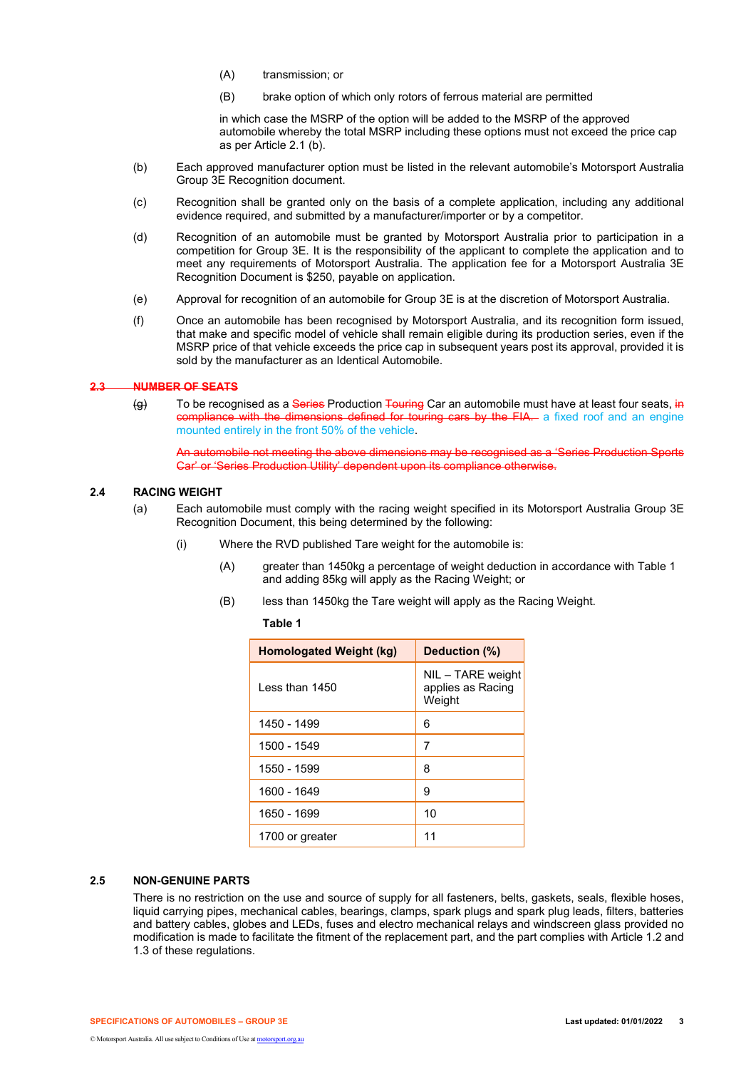- (A) transmission; or
- (B) brake option of which only rotors of ferrous material are permitted

in which case the MSRP of the option will be added to the MSRP of the approved automobile whereby the total MSRP including these options must not exceed the price cap as per Article 2.1 (b).

- (b) Each approved manufacturer option must be listed in the relevant automobile's Motorsport Australia Group 3E Recognition document.
- (c) Recognition shall be granted only on the basis of a complete application, including any additional evidence required, and submitted by a manufacturer/importer or by a competitor.
- (d) Recognition of an automobile must be granted by Motorsport Australia prior to participation in a competition for Group 3E. It is the responsibility of the applicant to complete the application and to meet any requirements of Motorsport Australia. The application fee for a Motorsport Australia 3E Recognition Document is \$250, payable on application.
- (e) Approval for recognition of an automobile for Group 3E is at the discretion of Motorsport Australia.
- (f) Once an automobile has been recognised by Motorsport Australia, and its recognition form issued, that make and specific model of vehicle shall remain eligible during its production series, even if the MSRP price of that vehicle exceeds the price cap in subsequent years post its approval, provided it is sold by the manufacturer as an Identical Automobile.

### **2.3 NUMBER OF SEATS**

(g) To be recognised as a Series Production Touring Car an automobile must have at least four seats, in compliance with the dimensions defined for touring cars by the FIA. a fixed roof and an engine mounted entirely in the front 50% of the vehicle.

An automobile not meeting the above dimensions may be recognised as a 'Series Production Sports Car' or 'Series Production Utility' dependent upon its compliance otherwise.

## **2.4 RACING WEIGHT**

- (a) Each automobile must comply with the racing weight specified in its Motorsport Australia Group 3E Recognition Document, this being determined by the following:
	- (i) Where the RVD published Tare weight for the automobile is:
		- (A) greater than 1450kg a percentage of weight deduction in accordance with Table 1 and adding 85kg will apply as the Racing Weight; or
		- (B) less than 1450kg the Tare weight will apply as the Racing Weight.

**Table 1**

| Homologated Weight (kg) | Deduction (%)                                    |  |
|-------------------------|--------------------------------------------------|--|
| l ess than 1450         | NIL - TARE weight<br>applies as Racing<br>Weight |  |
| 1450 - 1499             | 6                                                |  |
| 1500 - 1549             | 7                                                |  |
| 1550 - 1599             | 8                                                |  |
| 1600 - 1649             | 9                                                |  |
| 1650 - 1699             | 10                                               |  |
| 1700 or greater         | 11                                               |  |

# **2.5 NON-GENUINE PARTS**

There is no restriction on the use and source of supply for all fasteners, belts, gaskets, seals, flexible hoses, liquid carrying pipes, mechanical cables, bearings, clamps, spark plugs and spark plug leads, filters, batteries and battery cables, globes and LEDs, fuses and electro mechanical relays and windscreen glass provided no modification is made to facilitate the fitment of the replacement part, and the part complies with Article 1.2 and 1.3 of these regulations.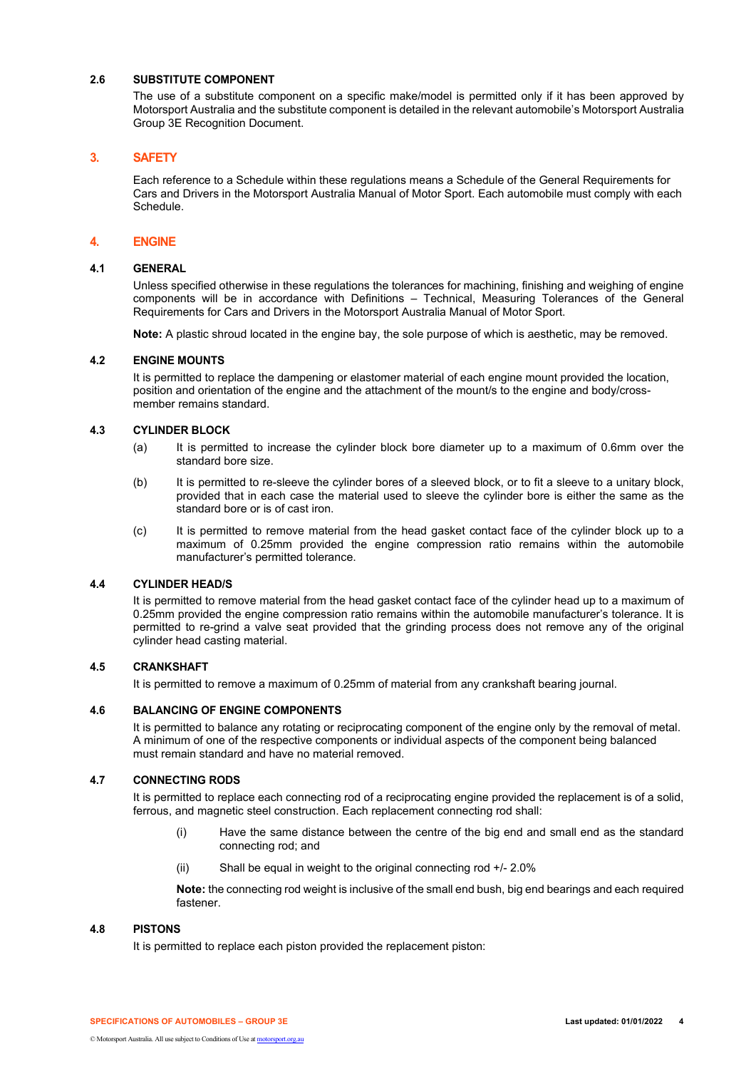# **2.6 SUBSTITUTE COMPONENT**

The use of a substitute component on a specific make/model is permitted only if it has been approved by Motorsport Australia and the substitute component is detailed in the relevant automobile's Motorsport Australia Group 3E Recognition Document.

# **3. SAFETY**

Each reference to a Schedule within these regulations means a Schedule of the General Requirements for Cars and Drivers in the Motorsport Australia Manual of Motor Sport. Each automobile must comply with each Schedule.

# **4. ENGINE**

## **4.1 GENERAL**

Unless specified otherwise in these regulations the tolerances for machining, finishing and weighing of engine components will be in accordance with Definitions – Technical, Measuring Tolerances of the General Requirements for Cars and Drivers in the Motorsport Australia Manual of Motor Sport.

**Note:** A plastic shroud located in the engine bay, the sole purpose of which is aesthetic, may be removed.

## **4.2 ENGINE MOUNTS**

It is permitted to replace the dampening or elastomer material of each engine mount provided the location, position and orientation of the engine and the attachment of the mount/s to the engine and body/crossmember remains standard.

## **4.3 CYLINDER BLOCK**

- (a) It is permitted to increase the cylinder block bore diameter up to a maximum of 0.6mm over the standard bore size.
- (b) It is permitted to re-sleeve the cylinder bores of a sleeved block, or to fit a sleeve to a unitary block, provided that in each case the material used to sleeve the cylinder bore is either the same as the standard bore or is of cast iron.
- (c) It is permitted to remove material from the head gasket contact face of the cylinder block up to a maximum of 0.25mm provided the engine compression ratio remains within the automobile manufacturer's permitted tolerance.

## **4.4 CYLINDER HEAD/S**

It is permitted to remove material from the head gasket contact face of the cylinder head up to a maximum of 0.25mm provided the engine compression ratio remains within the automobile manufacturer's tolerance. It is permitted to re-grind a valve seat provided that the grinding process does not remove any of the original cylinder head casting material.

## **4.5 CRANKSHAFT**

It is permitted to remove a maximum of 0.25mm of material from any crankshaft bearing journal.

## **4.6 BALANCING OF ENGINE COMPONENTS**

It is permitted to balance any rotating or reciprocating component of the engine only by the removal of metal. A minimum of one of the respective components or individual aspects of the component being balanced must remain standard and have no material removed.

## **4.7 CONNECTING RODS**

It is permitted to replace each connecting rod of a reciprocating engine provided the replacement is of a solid, ferrous, and magnetic steel construction. Each replacement connecting rod shall:

- (i) Have the same distance between the centre of the big end and small end as the standard connecting rod; and
- (ii) Shall be equal in weight to the original connecting rod +/- 2.0%

**Note:** the connecting rod weight is inclusive of the small end bush, big end bearings and each required fastener.

## **4.8 PISTONS**

It is permitted to replace each piston provided the replacement piston: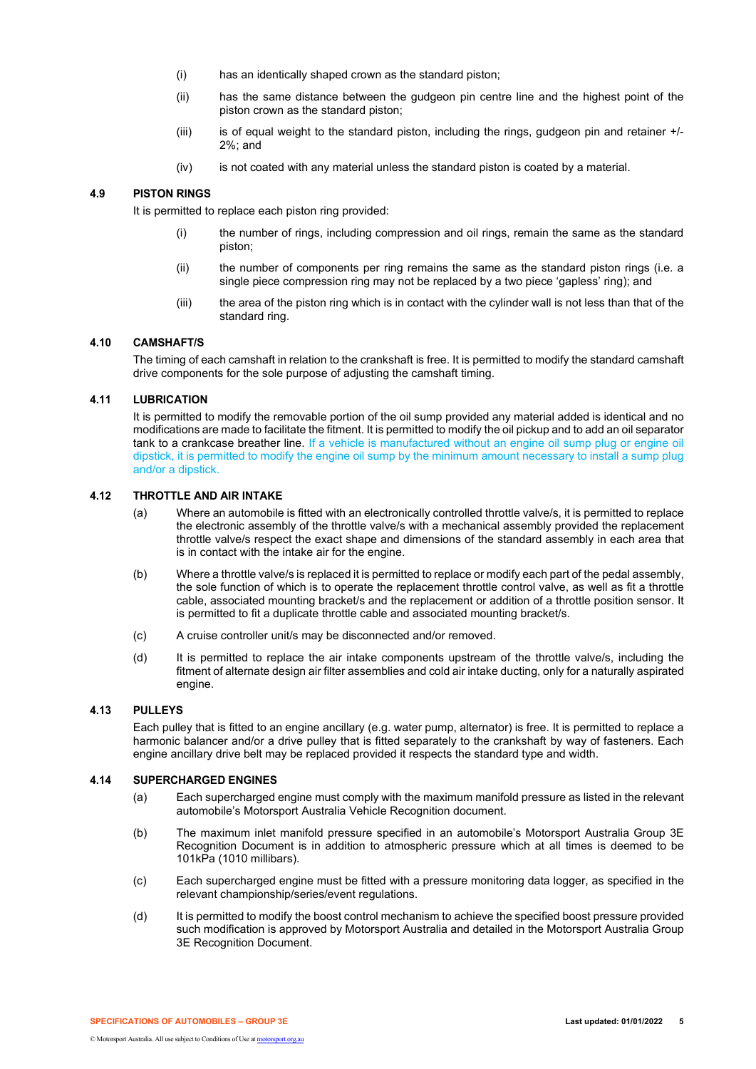- (i) has an identically shaped crown as the standard piston;
- (ii) has the same distance between the gudgeon pin centre line and the highest point of the piston crown as the standard piston;
- (iii) is of equal weight to the standard piston, including the rings, gudgeon pin and retainer +/- 2%; and
- (iv) is not coated with any material unless the standard piston is coated by a material.

# **4.9 PISTON RINGS**

It is permitted to replace each piston ring provided:

- (i) the number of rings, including compression and oil rings, remain the same as the standard piston;
- (ii) the number of components per ring remains the same as the standard piston rings (i.e. a single piece compression ring may not be replaced by a two piece 'gapless' ring); and
- (iii) the area of the piston ring which is in contact with the cylinder wall is not less than that of the standard ring.

# **4.10 CAMSHAFT/S**

The timing of each camshaft in relation to the crankshaft is free. It is permitted to modify the standard camshaft drive components for the sole purpose of adjusting the camshaft timing.

## **4.11 LUBRICATION**

It is permitted to modify the removable portion of the oil sump provided any material added is identical and no modifications are made to facilitate the fitment. It is permitted to modify the oil pickup and to add an oil separator tank to a crankcase breather line. If a vehicle is manufactured without an engine oil sump plug or engine oil dipstick, it is permitted to modify the engine oil sump by the minimum amount necessary to install a sump plug and/or a dipstick.

# **4.12 THROTTLE AND AIR INTAKE**

- (a) Where an automobile is fitted with an electronically controlled throttle valve/s, it is permitted to replace the electronic assembly of the throttle valve/s with a mechanical assembly provided the replacement throttle valve/s respect the exact shape and dimensions of the standard assembly in each area that is in contact with the intake air for the engine.
- (b) Where a throttle valve/s is replaced it is permitted to replace or modify each part of the pedal assembly, the sole function of which is to operate the replacement throttle control valve, as well as fit a throttle cable, associated mounting bracket/s and the replacement or addition of a throttle position sensor. It is permitted to fit a duplicate throttle cable and associated mounting bracket/s.
- (c) A cruise controller unit/s may be disconnected and/or removed.
- (d) It is permitted to replace the air intake components upstream of the throttle valve/s, including the fitment of alternate design air filter assemblies and cold air intake ducting, only for a naturally aspirated engine.

# **4.13 PULLEYS**

Each pulley that is fitted to an engine ancillary (e.g. water pump, alternator) is free. It is permitted to replace a harmonic balancer and/or a drive pulley that is fitted separately to the crankshaft by way of fasteners. Each engine ancillary drive belt may be replaced provided it respects the standard type and width.

## **4.14 SUPERCHARGED ENGINES**

- (a) Each supercharged engine must comply with the maximum manifold pressure as listed in the relevant automobile's Motorsport Australia Vehicle Recognition document.
- (b) The maximum inlet manifold pressure specified in an automobile's Motorsport Australia Group 3E Recognition Document is in addition to atmospheric pressure which at all times is deemed to be 101kPa (1010 millibars).
- (c) Each supercharged engine must be fitted with a pressure monitoring data logger, as specified in the relevant championship/series/event regulations.
- (d) It is permitted to modify the boost control mechanism to achieve the specified boost pressure provided such modification is approved by Motorsport Australia and detailed in the Motorsport Australia Group 3E Recognition Document.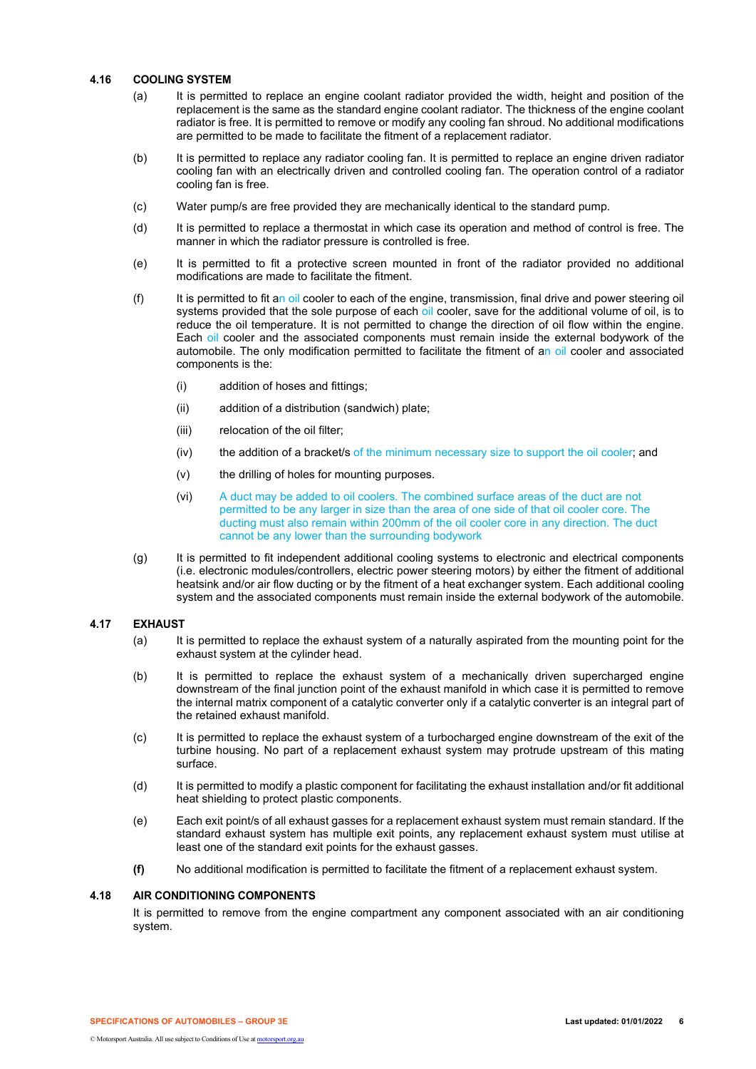## **4.16 COOLING SYSTEM**

- (a) It is permitted to replace an engine coolant radiator provided the width, height and position of the replacement is the same as the standard engine coolant radiator. The thickness of the engine coolant radiator is free. It is permitted to remove or modify any cooling fan shroud. No additional modifications are permitted to be made to facilitate the fitment of a replacement radiator.
- (b) It is permitted to replace any radiator cooling fan. It is permitted to replace an engine driven radiator cooling fan with an electrically driven and controlled cooling fan. The operation control of a radiator cooling fan is free.
- (c) Water pump/s are free provided they are mechanically identical to the standard pump.
- (d) It is permitted to replace a thermostat in which case its operation and method of control is free. The manner in which the radiator pressure is controlled is free.
- (e) It is permitted to fit a protective screen mounted in front of the radiator provided no additional modifications are made to facilitate the fitment.
- (f) It is permitted to fit an oil cooler to each of the engine, transmission, final drive and power steering oil systems provided that the sole purpose of each oil cooler, save for the additional volume of oil, is to reduce the oil temperature. It is not permitted to change the direction of oil flow within the engine. Each oil cooler and the associated components must remain inside the external bodywork of the automobile. The only modification permitted to facilitate the fitment of an oil cooler and associated components is the:
	- (i) addition of hoses and fittings;
	- (ii) addition of a distribution (sandwich) plate;
	- (iii) relocation of the oil filter;
	- (iv) the addition of a bracket/s of the minimum necessary size to support the oil cooler; and
	- (v) the drilling of holes for mounting purposes.
	- (vi) A duct may be added to oil coolers. The combined surface areas of the duct are not permitted to be any larger in size than the area of one side of that oil cooler core. The ducting must also remain within 200mm of the oil cooler core in any direction. The duct cannot be any lower than the surrounding bodywork
- (g) It is permitted to fit independent additional cooling systems to electronic and electrical components (i.e. electronic modules/controllers, electric power steering motors) by either the fitment of additional heatsink and/or air flow ducting or by the fitment of a heat exchanger system. Each additional cooling system and the associated components must remain inside the external bodywork of the automobile.

#### **4.17 EXHAUST**

- (a) It is permitted to replace the exhaust system of a naturally aspirated from the mounting point for the exhaust system at the cylinder head.
- (b) It is permitted to replace the exhaust system of a mechanically driven supercharged engine downstream of the final junction point of the exhaust manifold in which case it is permitted to remove the internal matrix component of a catalytic converter only if a catalytic converter is an integral part of the retained exhaust manifold.
- (c) It is permitted to replace the exhaust system of a turbocharged engine downstream of the exit of the turbine housing. No part of a replacement exhaust system may protrude upstream of this mating surface.
- (d) It is permitted to modify a plastic component for facilitating the exhaust installation and/or fit additional heat shielding to protect plastic components.
- (e) Each exit point/s of all exhaust gasses for a replacement exhaust system must remain standard. If the standard exhaust system has multiple exit points, any replacement exhaust system must utilise at least one of the standard exit points for the exhaust gasses.
- **(f)** No additional modification is permitted to facilitate the fitment of a replacement exhaust system.

## **4.18 AIR CONDITIONING COMPONENTS**

It is permitted to remove from the engine compartment any component associated with an air conditioning system.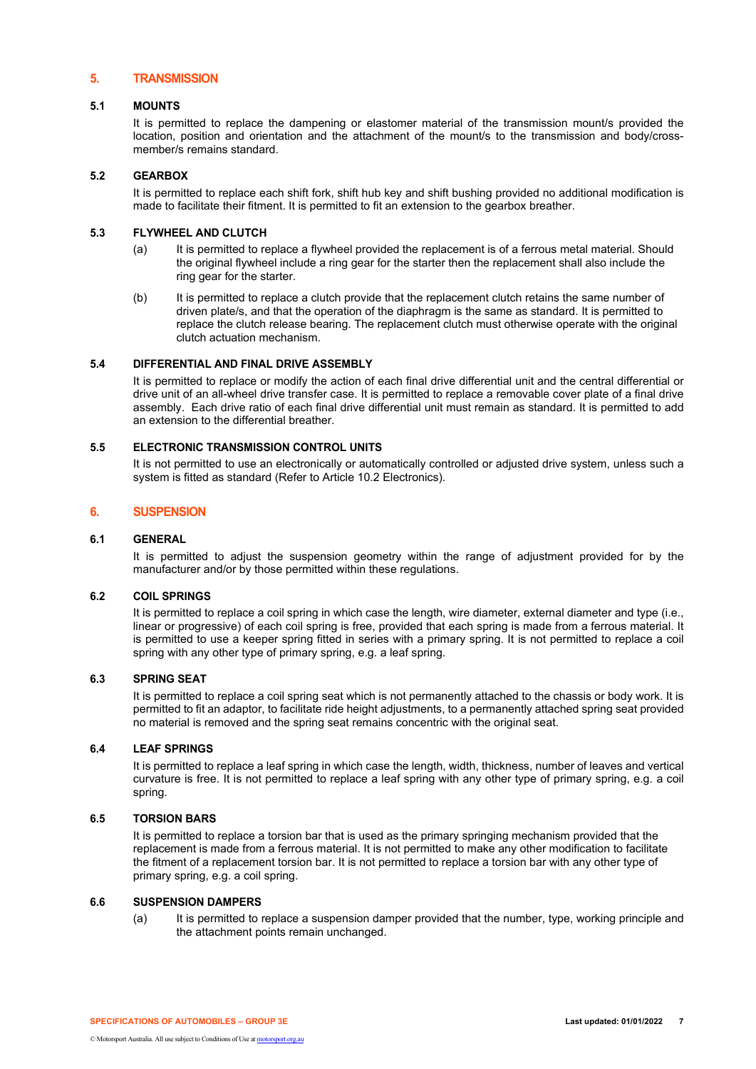# **5. TRANSMISSION**

## **5.1 MOUNTS**

It is permitted to replace the dampening or elastomer material of the transmission mount/s provided the location, position and orientation and the attachment of the mount/s to the transmission and body/crossmember/s remains standard.

## **5.2 GEARBOX**

It is permitted to replace each shift fork, shift hub key and shift bushing provided no additional modification is made to facilitate their fitment. It is permitted to fit an extension to the gearbox breather.

## **5.3 FLYWHEEL AND CLUTCH**

- (a) It is permitted to replace a flywheel provided the replacement is of a ferrous metal material. Should the original flywheel include a ring gear for the starter then the replacement shall also include the ring gear for the starter.
- (b) It is permitted to replace a clutch provide that the replacement clutch retains the same number of driven plate/s, and that the operation of the diaphragm is the same as standard. It is permitted to replace the clutch release bearing. The replacement clutch must otherwise operate with the original clutch actuation mechanism.

## **5.4 DIFFERENTIAL AND FINAL DRIVE ASSEMBLY**

It is permitted to replace or modify the action of each final drive differential unit and the central differential or drive unit of an all-wheel drive transfer case. It is permitted to replace a removable cover plate of a final drive assembly. Each drive ratio of each final drive differential unit must remain as standard. It is permitted to add an extension to the differential breather.

## **5.5 ELECTRONIC TRANSMISSION CONTROL UNITS**

It is not permitted to use an electronically or automatically controlled or adjusted drive system, unless such a system is fitted as standard (Refer to Article 10.2 Electronics).

#### **6. SUSPENSION**

## **6.1 GENERAL**

It is permitted to adjust the suspension geometry within the range of adjustment provided for by the manufacturer and/or by those permitted within these regulations.

## **6.2 COIL SPRINGS**

It is permitted to replace a coil spring in which case the length, wire diameter, external diameter and type (i.e., linear or progressive) of each coil spring is free, provided that each spring is made from a ferrous material. It is permitted to use a keeper spring fitted in series with a primary spring. It is not permitted to replace a coil spring with any other type of primary spring, e.g. a leaf spring.

## **6.3 SPRING SEAT**

It is permitted to replace a coil spring seat which is not permanently attached to the chassis or body work. It is permitted to fit an adaptor, to facilitate ride height adjustments, to a permanently attached spring seat provided no material is removed and the spring seat remains concentric with the original seat.

## **6.4 LEAF SPRINGS**

It is permitted to replace a leaf spring in which case the length, width, thickness, number of leaves and vertical curvature is free. It is not permitted to replace a leaf spring with any other type of primary spring, e.g. a coil spring.

## **6.5 TORSION BARS**

It is permitted to replace a torsion bar that is used as the primary springing mechanism provided that the replacement is made from a ferrous material. It is not permitted to make any other modification to facilitate the fitment of a replacement torsion bar. It is not permitted to replace a torsion bar with any other type of primary spring, e.g. a coil spring.

#### **6.6 SUSPENSION DAMPERS**

(a) It is permitted to replace a suspension damper provided that the number, type, working principle and the attachment points remain unchanged.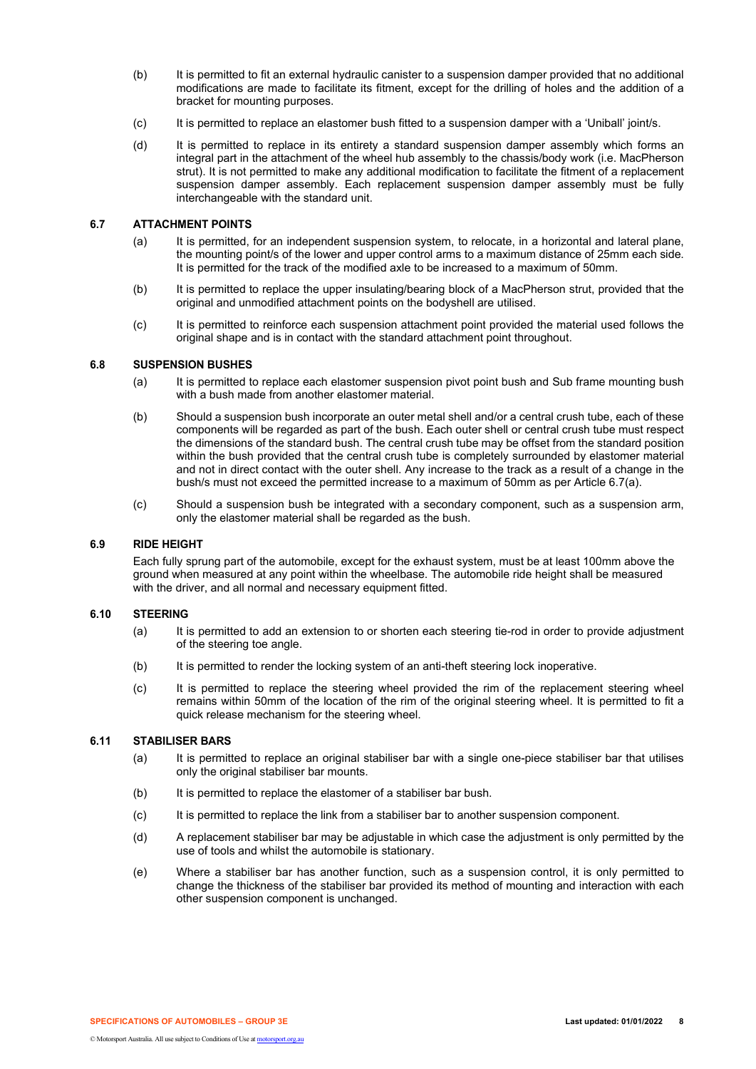- (b) It is permitted to fit an external hydraulic canister to a suspension damper provided that no additional modifications are made to facilitate its fitment, except for the drilling of holes and the addition of a bracket for mounting purposes.
- (c) It is permitted to replace an elastomer bush fitted to a suspension damper with a 'Uniball' joint/s.
- (d) It is permitted to replace in its entirety a standard suspension damper assembly which forms an integral part in the attachment of the wheel hub assembly to the chassis/body work (i.e. MacPherson strut). It is not permitted to make any additional modification to facilitate the fitment of a replacement suspension damper assembly. Each replacement suspension damper assembly must be fully interchangeable with the standard unit.

## **6.7 ATTACHMENT POINTS**

- (a) It is permitted, for an independent suspension system, to relocate, in a horizontal and lateral plane, the mounting point/s of the lower and upper control arms to a maximum distance of 25mm each side. It is permitted for the track of the modified axle to be increased to a maximum of 50mm.
- (b) It is permitted to replace the upper insulating/bearing block of a MacPherson strut, provided that the original and unmodified attachment points on the bodyshell are utilised.
- (c) It is permitted to reinforce each suspension attachment point provided the material used follows the original shape and is in contact with the standard attachment point throughout.

# **6.8 SUSPENSION BUSHES**

- (a) It is permitted to replace each elastomer suspension pivot point bush and Sub frame mounting bush with a bush made from another elastomer material.
- (b) Should a suspension bush incorporate an outer metal shell and/or a central crush tube, each of these components will be regarded as part of the bush. Each outer shell or central crush tube must respect the dimensions of the standard bush. The central crush tube may be offset from the standard position within the bush provided that the central crush tube is completely surrounded by elastomer material and not in direct contact with the outer shell. Any increase to the track as a result of a change in the bush/s must not exceed the permitted increase to a maximum of 50mm as per Article 6.7(a).
- (c) Should a suspension bush be integrated with a secondary component, such as a suspension arm, only the elastomer material shall be regarded as the bush.

## **6.9 RIDE HEIGHT**

Each fully sprung part of the automobile, except for the exhaust system, must be at least 100mm above the ground when measured at any point within the wheelbase. The automobile ride height shall be measured with the driver, and all normal and necessary equipment fitted.

## **6.10 STEERING**

- (a) It is permitted to add an extension to or shorten each steering tie-rod in order to provide adjustment of the steering toe angle.
- (b) It is permitted to render the locking system of an anti-theft steering lock inoperative.
- (c) It is permitted to replace the steering wheel provided the rim of the replacement steering wheel remains within 50mm of the location of the rim of the original steering wheel. It is permitted to fit a quick release mechanism for the steering wheel.

# **6.11 STABILISER BARS**

- (a) It is permitted to replace an original stabiliser bar with a single one-piece stabiliser bar that utilises only the original stabiliser bar mounts.
- (b) It is permitted to replace the elastomer of a stabiliser bar bush.
- (c) It is permitted to replace the link from a stabiliser bar to another suspension component.
- (d) A replacement stabiliser bar may be adjustable in which case the adjustment is only permitted by the use of tools and whilst the automobile is stationary.
- (e) Where a stabiliser bar has another function, such as a suspension control, it is only permitted to change the thickness of the stabiliser bar provided its method of mounting and interaction with each other suspension component is unchanged.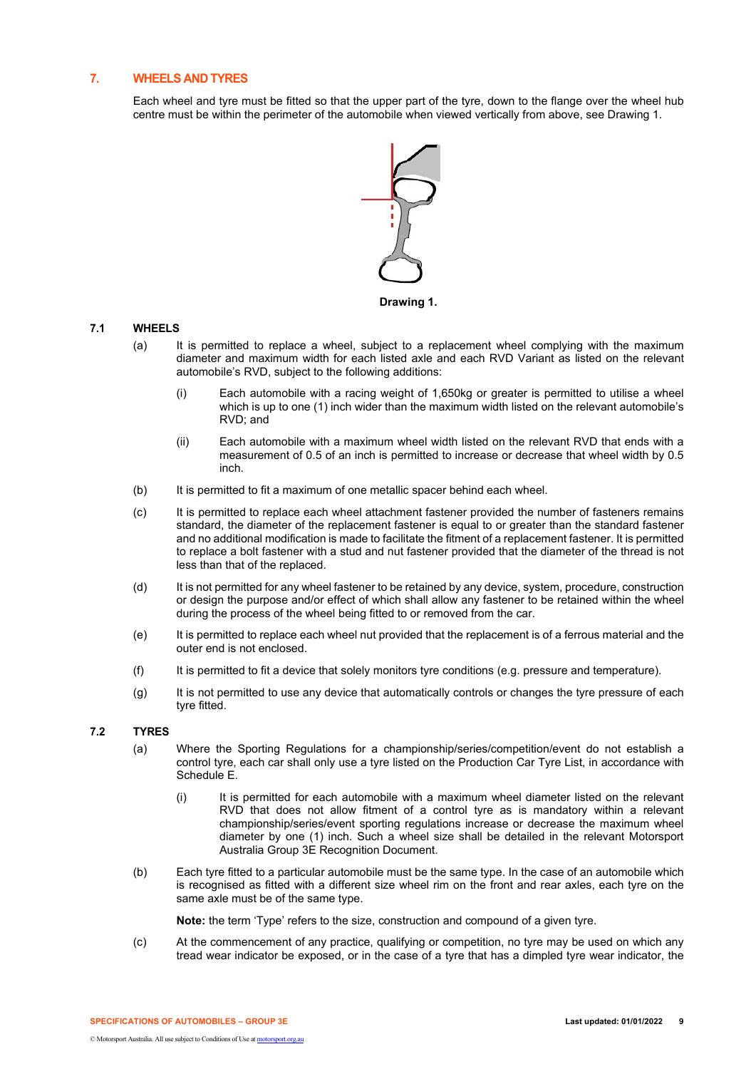# **7. WHEELS AND TYRES**

Each wheel and tyre must be fitted so that the upper part of the tyre, down to the flange over the wheel hub centre must be within the perimeter of the automobile when viewed vertically from above, see Drawing 1.



## **Drawing 1.**

# **7.1 WHEELS**

- (a) It is permitted to replace a wheel, subject to a replacement wheel complying with the maximum diameter and maximum width for each listed axle and each RVD Variant as listed on the relevant automobile's RVD, subject to the following additions:
	- (i) Each automobile with a racing weight of 1,650kg or greater is permitted to utilise a wheel which is up to one (1) inch wider than the maximum width listed on the relevant automobile's RVD; and
	- (ii) Each automobile with a maximum wheel width listed on the relevant RVD that ends with a measurement of 0.5 of an inch is permitted to increase or decrease that wheel width by 0.5 inch.
- (b) It is permitted to fit a maximum of one metallic spacer behind each wheel.
- (c) It is permitted to replace each wheel attachment fastener provided the number of fasteners remains standard, the diameter of the replacement fastener is equal to or greater than the standard fastener and no additional modification is made to facilitate the fitment of a replacement fastener. It is permitted to replace a bolt fastener with a stud and nut fastener provided that the diameter of the thread is not less than that of the replaced.
- (d) It is not permitted for any wheel fastener to be retained by any device, system, procedure, construction or design the purpose and/or effect of which shall allow any fastener to be retained within the wheel during the process of the wheel being fitted to or removed from the car.
- (e) It is permitted to replace each wheel nut provided that the replacement is of a ferrous material and the outer end is not enclosed.
- (f) It is permitted to fit a device that solely monitors tyre conditions (e.g. pressure and temperature).
- (g) It is not permitted to use any device that automatically controls or changes the tyre pressure of each tyre fitted.

# **7.2 TYRES**

- (a) Where the Sporting Regulations for a championship/series/competition/event do not establish a control tyre, each car shall only use a tyre listed on the Production Car Tyre List, in accordance with Schedule E.
	- (i) It is permitted for each automobile with a maximum wheel diameter listed on the relevant RVD that does not allow fitment of a control tyre as is mandatory within a relevant championship/series/event sporting regulations increase or decrease the maximum wheel diameter by one (1) inch. Such a wheel size shall be detailed in the relevant Motorsport Australia Group 3E Recognition Document.
- (b) Each tyre fitted to a particular automobile must be the same type. In the case of an automobile which is recognised as fitted with a different size wheel rim on the front and rear axles, each tyre on the same axle must be of the same type.

**Note:** the term 'Type' refers to the size, construction and compound of a given tyre.

(c) At the commencement of any practice, qualifying or competition, no tyre may be used on which any tread wear indicator be exposed, or in the case of a tyre that has a dimpled tyre wear indicator, the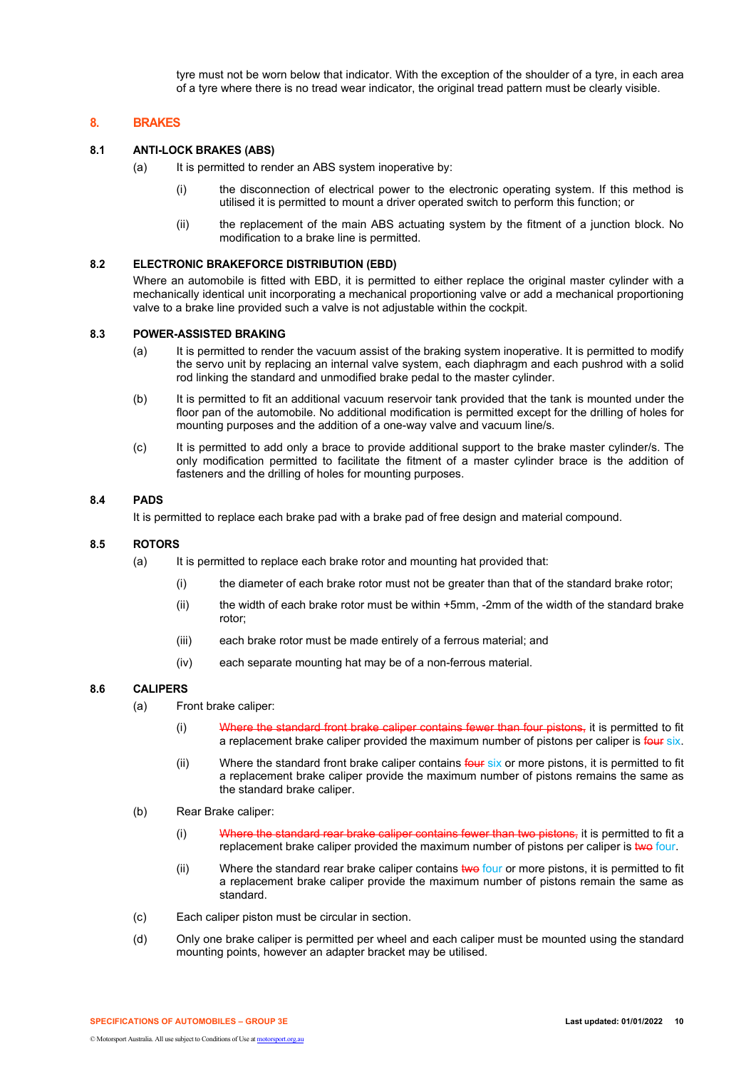tyre must not be worn below that indicator. With the exception of the shoulder of a tyre, in each area of a tyre where there is no tread wear indicator, the original tread pattern must be clearly visible.

# **8. BRAKES**

# **8.1 ANTI-LOCK BRAKES (ABS)**

- $(a)$  It is permitted to render an ABS system inoperative by:
	- (i) the disconnection of electrical power to the electronic operating system. If this method is utilised it is permitted to mount a driver operated switch to perform this function; or
	- (ii) the replacement of the main ABS actuating system by the fitment of a junction block. No modification to a brake line is permitted.

# **8.2 ELECTRONIC BRAKEFORCE DISTRIBUTION (EBD)**

Where an automobile is fitted with EBD, it is permitted to either replace the original master cylinder with a mechanically identical unit incorporating a mechanical proportioning valve or add a mechanical proportioning valve to a brake line provided such a valve is not adjustable within the cockpit.

#### **8.3 POWER-ASSISTED BRAKING**

- (a) It is permitted to render the vacuum assist of the braking system inoperative. It is permitted to modify the servo unit by replacing an internal valve system, each diaphragm and each pushrod with a solid rod linking the standard and unmodified brake pedal to the master cylinder.
- (b) It is permitted to fit an additional vacuum reservoir tank provided that the tank is mounted under the floor pan of the automobile. No additional modification is permitted except for the drilling of holes for mounting purposes and the addition of a one-way valve and vacuum line/s.
- (c) It is permitted to add only a brace to provide additional support to the brake master cylinder/s. The only modification permitted to facilitate the fitment of a master cylinder brace is the addition of fasteners and the drilling of holes for mounting purposes.

# **8.4 PADS**

It is permitted to replace each brake pad with a brake pad of free design and material compound.

## **8.5 ROTORS**

- (a) It is permitted to replace each brake rotor and mounting hat provided that:
	- (i) the diameter of each brake rotor must not be greater than that of the standard brake rotor;
	- (ii) the width of each brake rotor must be within +5mm, -2mm of the width of the standard brake rotor;
	- (iii) each brake rotor must be made entirely of a ferrous material; and
	- (iv) each separate mounting hat may be of a non-ferrous material.

# **8.6 CALIPERS**

- (a) Front brake caliper:
	- (i) Where the standard front brake caliper contains fewer than four pistons, it is permitted to fit a replacement brake caliper provided the maximum number of pistons per caliper is four six.
	- (ii) Where the standard front brake caliper contains four six or more pistons, it is permitted to fit a replacement brake caliper provide the maximum number of pistons remains the same as the standard brake caliper.
- (b) Rear Brake caliper:
	- (i) Where the standard rear brake caliper contains fewer than two pistons, it is permitted to fit a replacement brake caliper provided the maximum number of pistons per caliper is two four.
	- (ii) Where the standard rear brake caliper contains two four or more pistons, it is permitted to fit a replacement brake caliper provide the maximum number of pistons remain the same as standard.
- (c) Each caliper piston must be circular in section.
- (d) Only one brake caliper is permitted per wheel and each caliper must be mounted using the standard mounting points, however an adapter bracket may be utilised.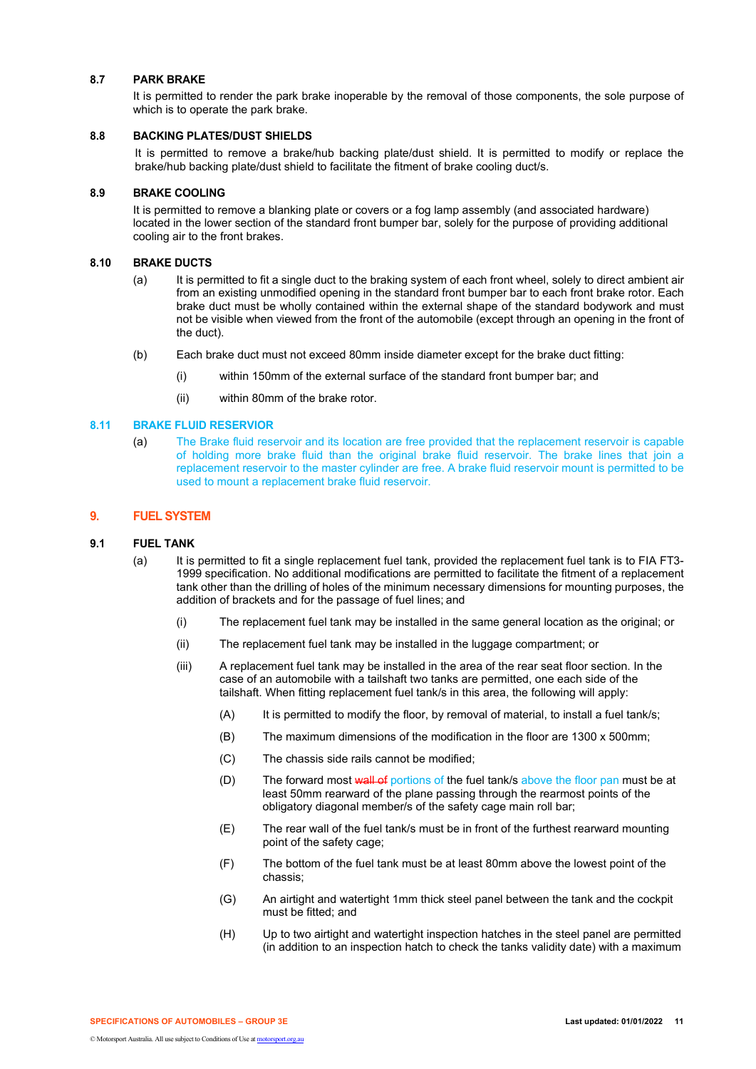## **8.7 PARK BRAKE**

It is permitted to render the park brake inoperable by the removal of those components, the sole purpose of which is to operate the park brake.

# **8.8 BACKING PLATES/DUST SHIELDS**

It is permitted to remove a brake/hub backing plate/dust shield. It is permitted to modify or replace the brake/hub backing plate/dust shield to facilitate the fitment of brake cooling duct/s.

## **8.9 BRAKE COOLING**

It is permitted to remove a blanking plate or covers or a fog lamp assembly (and associated hardware) located in the lower section of the standard front bumper bar, solely for the purpose of providing additional cooling air to the front brakes.

# **8.10 BRAKE DUCTS**

- (a) It is permitted to fit a single duct to the braking system of each front wheel, solely to direct ambient air from an existing unmodified opening in the standard front bumper bar to each front brake rotor. Each brake duct must be wholly contained within the external shape of the standard bodywork and must not be visible when viewed from the front of the automobile (except through an opening in the front of the duct).
- (b) Each brake duct must not exceed 80mm inside diameter except for the brake duct fitting:
	- (i) within 150mm of the external surface of the standard front bumper bar; and
	- (ii) within 80mm of the brake rotor.

# **8.11 BRAKE FLUID RESERVIOR**

(a) The Brake fluid reservoir and its location are free provided that the replacement reservoir is capable of holding more brake fluid than the original brake fluid reservoir. The brake lines that join a replacement reservoir to the master cylinder are free. A brake fluid reservoir mount is permitted to be used to mount a replacement brake fluid reservoir.

# **9. FUEL SYSTEM**

## **9.1 FUEL TANK**

- (a) It is permitted to fit a single replacement fuel tank, provided the replacement fuel tank is to FIA FT3- 1999 specification. No additional modifications are permitted to facilitate the fitment of a replacement tank other than the drilling of holes of the minimum necessary dimensions for mounting purposes, the addition of brackets and for the passage of fuel lines; and
	- (i) The replacement fuel tank may be installed in the same general location as the original; or
	- (ii) The replacement fuel tank may be installed in the luggage compartment; or
	- (iii) A replacement fuel tank may be installed in the area of the rear seat floor section. In the case of an automobile with a tailshaft two tanks are permitted, one each side of the tailshaft. When fitting replacement fuel tank/s in this area, the following will apply:
		- (A) It is permitted to modify the floor, by removal of material, to install a fuel tank/s;
		- (B) The maximum dimensions of the modification in the floor are 1300 x 500mm;
		- (C) The chassis side rails cannot be modified;
		- (D) The forward most wall of portions of the fuel tank/s above the floor pan must be at least 50mm rearward of the plane passing through the rearmost points of the obligatory diagonal member/s of the safety cage main roll bar;
		- (E) The rear wall of the fuel tank/s must be in front of the furthest rearward mounting point of the safety cage;
		- (F) The bottom of the fuel tank must be at least 80mm above the lowest point of the chassis;
		- (G) An airtight and watertight 1mm thick steel panel between the tank and the cockpit must be fitted; and
		- (H) Up to two airtight and watertight inspection hatches in the steel panel are permitted (in addition to an inspection hatch to check the tanks validity date) with a maximum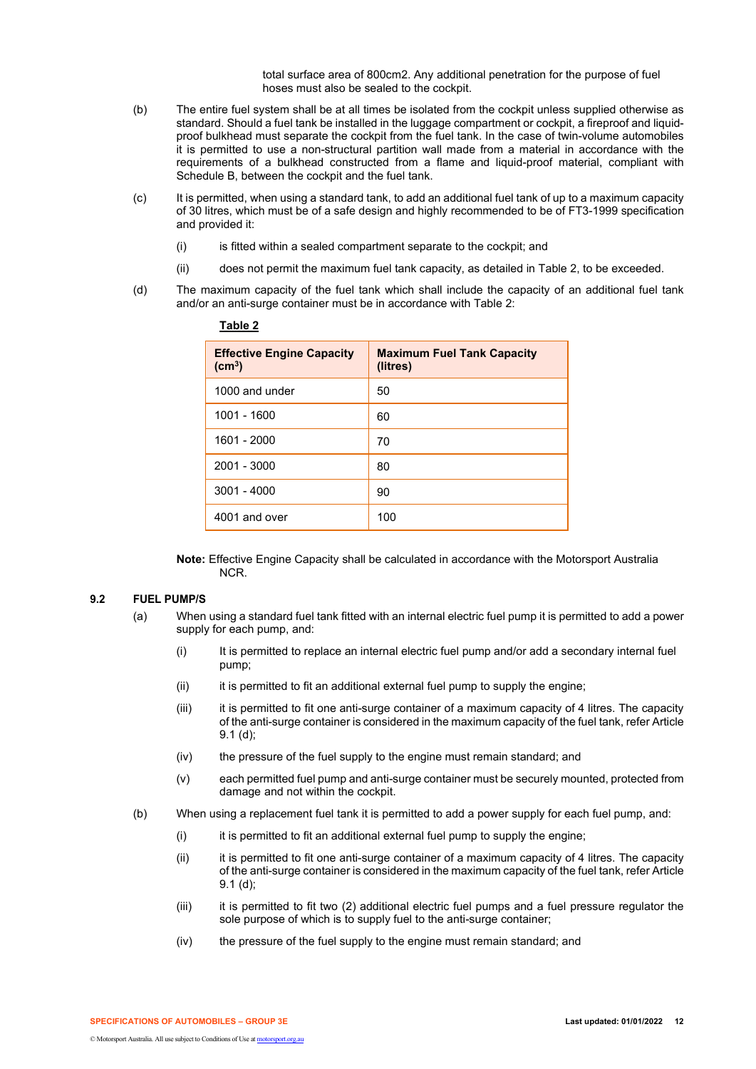total surface area of 800cm2. Any additional penetration for the purpose of fuel hoses must also be sealed to the cockpit.

- (b) The entire fuel system shall be at all times be isolated from the cockpit unless supplied otherwise as standard. Should a fuel tank be installed in the luggage compartment or cockpit, a fireproof and liquidproof bulkhead must separate the cockpit from the fuel tank. In the case of twin-volume automobiles it is permitted to use a non-structural partition wall made from a material in accordance with the requirements of a bulkhead constructed from a flame and liquid-proof material, compliant with Schedule B, between the cockpit and the fuel tank.
- (c) It is permitted, when using a standard tank, to add an additional fuel tank of up to a maximum capacity of 30 litres, which must be of a safe design and highly recommended to be of FT3-1999 specification and provided it:
	- (i) is fitted within a sealed compartment separate to the cockpit; and
	- (ii) does not permit the maximum fuel tank capacity, as detailed in Table 2, to be exceeded.
- (d) The maximum capacity of the fuel tank which shall include the capacity of an additional fuel tank and/or an anti-surge container must be in accordance with Table 2:

| <b>Effective Engine Capacity</b><br>$\text{(cm}^3\text{)}$ | <b>Maximum Fuel Tank Capacity</b><br>(litres) |
|------------------------------------------------------------|-----------------------------------------------|
| 1000 and under                                             | 50                                            |
| 1001 - 1600                                                | 60                                            |
| 1601 - 2000                                                | 70                                            |
| 2001 - 3000                                                | 80                                            |
| $3001 - 4000$                                              | 90                                            |
| 4001 and over                                              | 100                                           |

| ٠<br>٠ | וסו | × | ı |
|--------|-----|---|---|
|        |     |   |   |

**Note:** Effective Engine Capacity shall be calculated in accordance with the Motorsport Australia NCR.

# **9.2 FUEL PUMP/S**

- (a) When using a standard fuel tank fitted with an internal electric fuel pump it is permitted to add a power supply for each pump, and:
	- (i) It is permitted to replace an internal electric fuel pump and/or add a secondary internal fuel pump;
	- (ii) it is permitted to fit an additional external fuel pump to supply the engine;
	- (iii) it is permitted to fit one anti-surge container of a maximum capacity of 4 litres. The capacity of the anti-surge container is considered in the maximum capacity of the fuel tank, refer Article 9.1 (d);
	- (iv) the pressure of the fuel supply to the engine must remain standard; and
	- (v) each permitted fuel pump and anti-surge container must be securely mounted, protected from damage and not within the cockpit.
- (b) When using a replacement fuel tank it is permitted to add a power supply for each fuel pump, and:
	- (i) it is permitted to fit an additional external fuel pump to supply the engine;
	- (ii) it is permitted to fit one anti-surge container of a maximum capacity of 4 litres. The capacity of the anti-surge container is considered in the maximum capacity of the fuel tank, refer Article 9.1 (d);
	- (iii) it is permitted to fit two (2) additional electric fuel pumps and a fuel pressure regulator the sole purpose of which is to supply fuel to the anti-surge container;
	- (iv) the pressure of the fuel supply to the engine must remain standard; and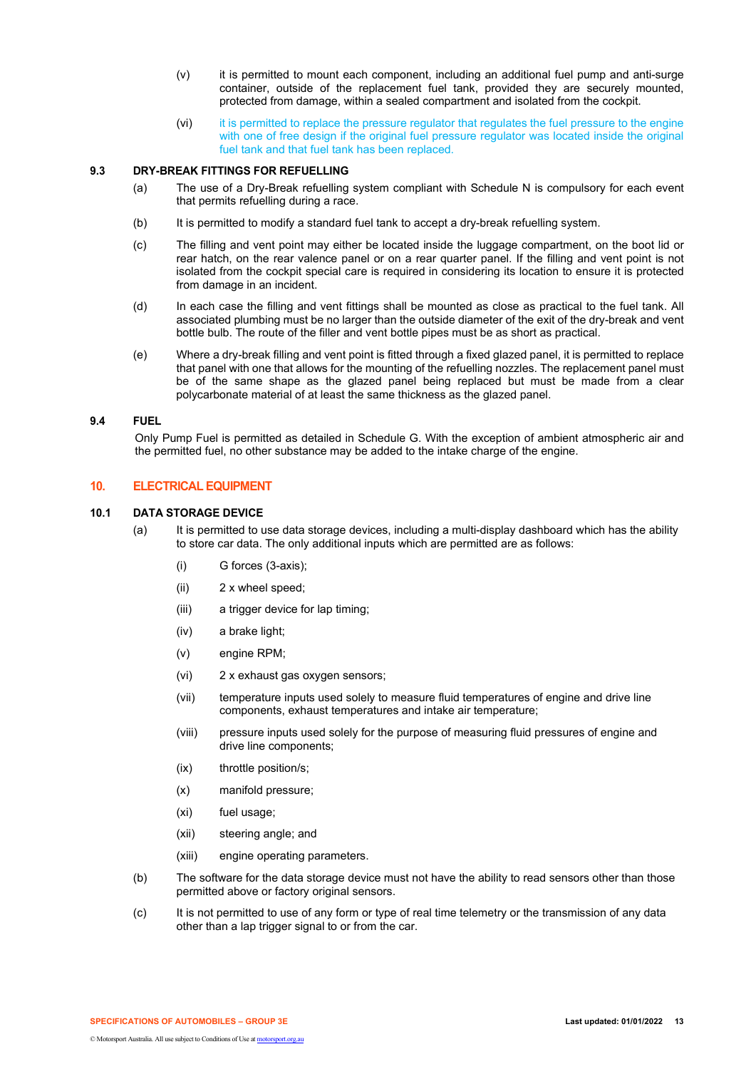- (v) it is permitted to mount each component, including an additional fuel pump and anti-surge container, outside of the replacement fuel tank, provided they are securely mounted, protected from damage, within a sealed compartment and isolated from the cockpit.
- (vi) it is permitted to replace the pressure regulator that regulates the fuel pressure to the engine with one of free design if the original fuel pressure regulator was located inside the original fuel tank and that fuel tank has been replaced.

# **9.3 DRY-BREAK FITTINGS FOR REFUELLING**

- (a) The use of a Dry-Break refuelling system compliant with Schedule N is compulsory for each event that permits refuelling during a race.
- (b) It is permitted to modify a standard fuel tank to accept a dry-break refuelling system.
- (c) The filling and vent point may either be located inside the luggage compartment, on the boot lid or rear hatch, on the rear valence panel or on a rear quarter panel. If the filling and vent point is not isolated from the cockpit special care is required in considering its location to ensure it is protected from damage in an incident.
- (d) In each case the filling and vent fittings shall be mounted as close as practical to the fuel tank. All associated plumbing must be no larger than the outside diameter of the exit of the dry-break and vent bottle bulb. The route of the filler and vent bottle pipes must be as short as practical.
- (e) Where a dry-break filling and vent point is fitted through a fixed glazed panel, it is permitted to replace that panel with one that allows for the mounting of the refuelling nozzles. The replacement panel must be of the same shape as the glazed panel being replaced but must be made from a clear polycarbonate material of at least the same thickness as the glazed panel.

#### **9.4 FUEL**

Only Pump Fuel is permitted as detailed in Schedule G. With the exception of ambient atmospheric air and the permitted fuel, no other substance may be added to the intake charge of the engine.

## **10. ELECTRICAL EQUIPMENT**

#### **10.1 DATA STORAGE DEVICE**

- (a) It is permitted to use data storage devices, including a multi-display dashboard which has the ability to store car data. The only additional inputs which are permitted are as follows:
	- (i) G forces (3-axis);
	- (ii) 2 x wheel speed;
	- (iii) a trigger device for lap timing;
	- (iv) a brake light;
	- (v) engine RPM;
	- (vi) 2 x exhaust gas oxygen sensors;
	- (vii) temperature inputs used solely to measure fluid temperatures of engine and drive line components, exhaust temperatures and intake air temperature;
	- (viii) pressure inputs used solely for the purpose of measuring fluid pressures of engine and drive line components;
	- (ix) throttle position/s;
	- (x) manifold pressure;
	- (xi) fuel usage;
	- (xii) steering angle; and
	- (xiii) engine operating parameters.
- (b) The software for the data storage device must not have the ability to read sensors other than those permitted above or factory original sensors.
- (c) It is not permitted to use of any form or type of real time telemetry or the transmission of any data other than a lap trigger signal to or from the car.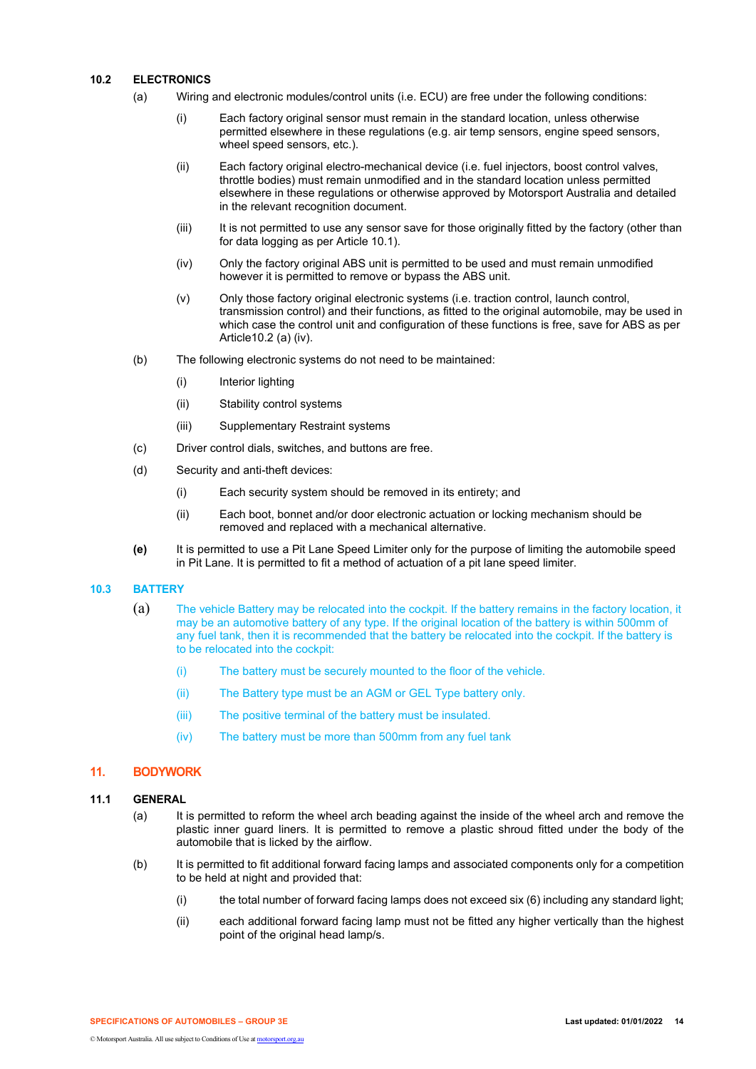## **10.2 ELECTRONICS**

- (a) Wiring and electronic modules/control units (i.e. ECU) are free under the following conditions:
	- (i) Each factory original sensor must remain in the standard location, unless otherwise permitted elsewhere in these regulations (e.g. air temp sensors, engine speed sensors, wheel speed sensors, etc.).
	- (ii) Each factory original electro-mechanical device (i.e. fuel injectors, boost control valves, throttle bodies) must remain unmodified and in the standard location unless permitted elsewhere in these regulations or otherwise approved by Motorsport Australia and detailed in the relevant recognition document.
	- (iii) It is not permitted to use any sensor save for those originally fitted by the factory (other than for data logging as per Article 10.1).
	- (iv) Only the factory original ABS unit is permitted to be used and must remain unmodified however it is permitted to remove or bypass the ABS unit.
	- (v) Only those factory original electronic systems (i.e. traction control, launch control, transmission control) and their functions, as fitted to the original automobile, may be used in which case the control unit and configuration of these functions is free, save for ABS as per Article10.2 (a) (iv).
- (b) The following electronic systems do not need to be maintained:
	- (i) Interior lighting
	- (ii) Stability control systems
	- (iii) Supplementary Restraint systems
- (c) Driver control dials, switches, and buttons are free.
- (d) Security and anti-theft devices:
	- (i) Each security system should be removed in its entirety; and
	- (ii) Each boot, bonnet and/or door electronic actuation or locking mechanism should be removed and replaced with a mechanical alternative.
- **(e)** It is permitted to use a Pit Lane Speed Limiter only for the purpose of limiting the automobile speed in Pit Lane. It is permitted to fit a method of actuation of a pit lane speed limiter.

## **10.3 BATTERY**

- (a) The vehicle Battery may be relocated into the cockpit. If the battery remains in the factory location, it may be an automotive battery of any type. If the original location of the battery is within 500mm of any fuel tank, then it is recommended that the battery be relocated into the cockpit. If the battery is to be relocated into the cockpit:
	- (i) The battery must be securely mounted to the floor of the vehicle.
	- (ii) The Battery type must be an AGM or GEL Type battery only.
	- (iii) The positive terminal of the battery must be insulated.
	- (iv) The battery must be more than 500mm from any fuel tank

# **11. BODYWORK**

## **11.1 GENERAL**

- (a) It is permitted to reform the wheel arch beading against the inside of the wheel arch and remove the plastic inner guard liners. It is permitted to remove a plastic shroud fitted under the body of the automobile that is licked by the airflow.
- (b) It is permitted to fit additional forward facing lamps and associated components only for a competition to be held at night and provided that:
	- (i) the total number of forward facing lamps does not exceed six (6) including any standard light;
	- (ii) each additional forward facing lamp must not be fitted any higher vertically than the highest point of the original head lamp/s.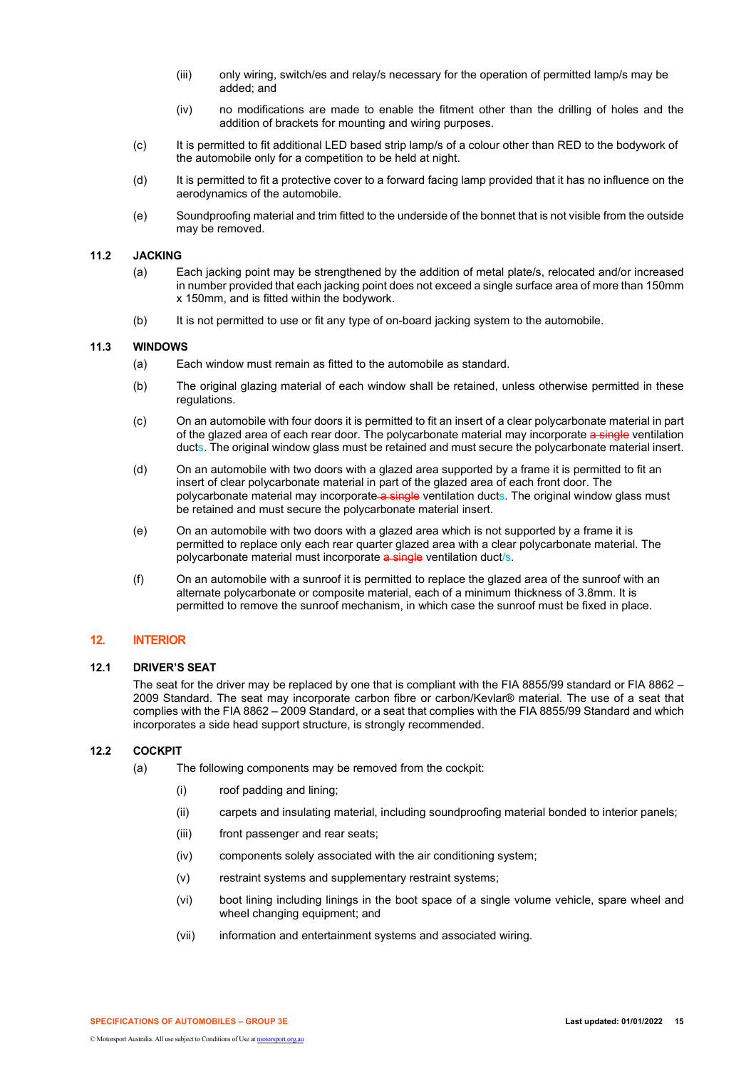- (iii) only wiring, switch/es and relay/s necessary for the operation of permitted lamp/s may be added; and
- (iv) no modifications are made to enable the fitment other than the drilling of holes and the addition of brackets for mounting and wiring purposes.
- (c) It is permitted to fit additional LED based strip lamp/s of a colour other than RED to the bodywork of the automobile only for a competition to be held at night.
- (d) It is permitted to fit a protective cover to a forward facing lamp provided that it has no influence on the aerodynamics of the automobile.
- (e) Soundproofing material and trim fitted to the underside of the bonnet that is not visible from the outside may be removed.

## **11.2 JACKING**

- (a) Each jacking point may be strengthened by the addition of metal plate/s, relocated and/or increased in number provided that each jacking point does not exceed a single surface area of more than 150mm x 150mm, and is fitted within the bodywork.
- (b) It is not permitted to use or fit any type of on-board jacking system to the automobile.

## **11.3 WINDOWS**

- (a) Each window must remain as fitted to the automobile as standard.
- (b) The original glazing material of each window shall be retained, unless otherwise permitted in these regulations.
- (c) On an automobile with four doors it is permitted to fit an insert of a clear polycarbonate material in part of the glazed area of each rear door. The polycarbonate material may incorporate a single ventilation ducts. The original window glass must be retained and must secure the polycarbonate material insert.
- (d) On an automobile with two doors with a glazed area supported by a frame it is permitted to fit an insert of clear polycarbonate material in part of the glazed area of each front door. The polycarbonate material may incorporate a single ventilation ducts. The original window glass must be retained and must secure the polycarbonate material insert.
- (e) On an automobile with two doors with a glazed area which is not supported by a frame it is permitted to replace only each rear quarter glazed area with a clear polycarbonate material. The polycarbonate material must incorporate a single ventilation duct/s.
- (f) On an automobile with a sunroof it is permitted to replace the glazed area of the sunroof with an alternate polycarbonate or composite material, each of a minimum thickness of 3.8mm. It is permitted to remove the sunroof mechanism, in which case the sunroof must be fixed in place.

# **12. INTERIOR**

# **12.1 DRIVER'S SEAT**

The seat for the driver may be replaced by one that is compliant with the FIA 8855/99 standard or FIA 8862 – 2009 Standard. The seat may incorporate carbon fibre or carbon/Kevlar® material. The use of a seat that complies with the FIA 8862 – 2009 Standard, or a seat that complies with the FIA 8855/99 Standard and which incorporates a side head support structure, is strongly recommended.

## **12.2 COCKPIT**

- (a) The following components may be removed from the cockpit:
	- (i) roof padding and lining;
	- (ii) carpets and insulating material, including soundproofing material bonded to interior panels;
	- (iii) front passenger and rear seats;
	- (iv) components solely associated with the air conditioning system;
	- (v) restraint systems and supplementary restraint systems;
	- (vi) boot lining including linings in the boot space of a single volume vehicle, spare wheel and wheel changing equipment; and
	- (vii) information and entertainment systems and associated wiring.